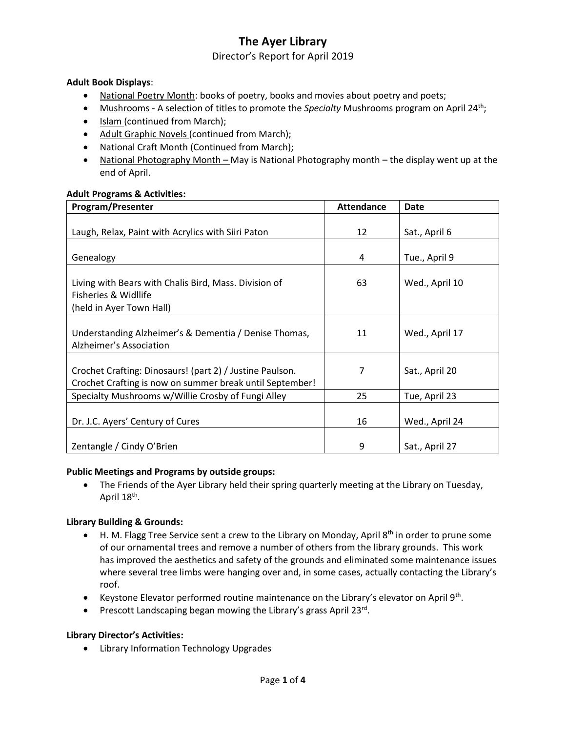Director's Report for April 2019

### **Adult Book Displays**:

- National Poetry Month: books of poetry, books and movies about poetry and poets;
- Mushrooms A selection of titles to promote the *Specialty* Mushrooms program on April 24<sup>th</sup>;
- Islam (continued from March);
- Adult Graphic Novels (continued from March);
- National Craft Month (Continued from March);
- National Photography Month May is National Photography month the display went up at the end of April.

#### **Adult Programs & Activities:**

| Program/Presenter                                                                                                    | <b>Attendance</b> | <b>Date</b>    |
|----------------------------------------------------------------------------------------------------------------------|-------------------|----------------|
|                                                                                                                      |                   |                |
| Laugh, Relax, Paint with Acrylics with Siiri Paton                                                                   | 12                | Sat., April 6  |
| Genealogy                                                                                                            | 4                 | Tue., April 9  |
|                                                                                                                      |                   |                |
| Living with Bears with Chalis Bird, Mass. Division of<br>Fisheries & Widllife<br>(held in Ayer Town Hall)            | 63                | Wed., April 10 |
|                                                                                                                      |                   |                |
| Understanding Alzheimer's & Dementia / Denise Thomas,<br>Alzheimer's Association                                     | 11                | Wed., April 17 |
|                                                                                                                      |                   |                |
| Crochet Crafting: Dinosaurs! (part 2) / Justine Paulson.<br>Crochet Crafting is now on summer break until September! | 7                 | Sat., April 20 |
| Specialty Mushrooms w/Willie Crosby of Fungi Alley                                                                   | 25                | Tue, April 23  |
|                                                                                                                      |                   |                |
| Dr. J.C. Ayers' Century of Cures                                                                                     | 16                | Wed., April 24 |
| Zentangle / Cindy O'Brien                                                                                            | 9                 | Sat., April 27 |

#### **Public Meetings and Programs by outside groups:**

 The Friends of the Ayer Library held their spring quarterly meeting at the Library on Tuesday, April 18<sup>th</sup>.

### **Library Building & Grounds:**

- H. M. Flagg Tree Service sent a crew to the Library on Monday, April 8<sup>th</sup> in order to prune some of our ornamental trees and remove a number of others from the library grounds. This work has improved the aesthetics and safety of the grounds and eliminated some maintenance issues where several tree limbs were hanging over and, in some cases, actually contacting the Library's roof.
- Keystone Elevator performed routine maintenance on the Library's elevator on April 9<sup>th</sup>.
- Prescott Landscaping began mowing the Library's grass April 23rd.

### **Library Director's Activities:**

Library Information Technology Upgrades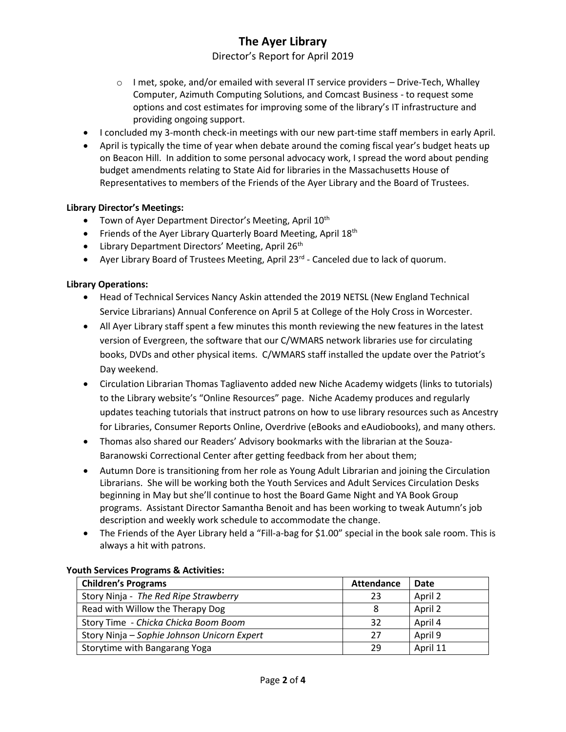## Director's Report for April 2019

- $\circ$  I met, spoke, and/or emailed with several IT service providers Drive-Tech, Whalley Computer, Azimuth Computing Solutions, and Comcast Business - to request some options and cost estimates for improving some of the library's IT infrastructure and providing ongoing support.
- I concluded my 3-month check-in meetings with our new part-time staff members in early April.
- April is typically the time of year when debate around the coming fiscal year's budget heats up on Beacon Hill. In addition to some personal advocacy work, I spread the word about pending budget amendments relating to State Aid for libraries in the Massachusetts House of Representatives to members of the Friends of the Ayer Library and the Board of Trustees.

### **Library Director's Meetings:**

- Town of Ayer Department Director's Meeting, April 10<sup>th</sup>
- Friends of the Ayer Library Quarterly Board Meeting, April 18<sup>th</sup>
- $\bullet$  Library Department Directors' Meeting, April 26<sup>th</sup>
- Ayer Library Board of Trustees Meeting, April 23<sup>rd</sup> Canceled due to lack of quorum.

#### **Library Operations:**

- Head of Technical Services Nancy Askin attended the 2019 NETSL (New England Technical Service Librarians) Annual Conference on April 5 at College of the Holy Cross in Worcester.
- All Ayer Library staff spent a few minutes this month reviewing the new features in the latest version of Evergreen, the software that our C/WMARS network libraries use for circulating books, DVDs and other physical items. C/WMARS staff installed the update over the Patriot's Day weekend.
- Circulation Librarian Thomas Tagliavento added new Niche Academy widgets (links to tutorials) to the Library website's "Online Resources" page. Niche Academy produces and regularly updates teaching tutorials that instruct patrons on how to use library resources such as Ancestry for Libraries, Consumer Reports Online, Overdrive (eBooks and eAudiobooks), and many others.
- Thomas also shared our Readers' Advisory bookmarks with the librarian at the Souza-Baranowski Correctional Center after getting feedback from her about them;
- Autumn Dore is transitioning from her role as Young Adult Librarian and joining the Circulation Librarians. She will be working both the Youth Services and Adult Services Circulation Desks beginning in May but she'll continue to host the Board Game Night and YA Book Group programs. Assistant Director Samantha Benoit and has been working to tweak Autumn's job description and weekly work schedule to accommodate the change.
- The Friends of the Ayer Library held a "Fill-a-bag for \$1.00" special in the book sale room. This is always a hit with patrons.

| <b>Children's Programs</b>                  | <b>Attendance</b> | Date     |
|---------------------------------------------|-------------------|----------|
| Story Ninja - The Red Ripe Strawberry       | 23                | April 2  |
| Read with Willow the Therapy Dog            | 8                 | April 2  |
| Story Time - Chicka Chicka Boom Boom        | 32                | April 4  |
| Story Ninja – Sophie Johnson Unicorn Expert | 27                | April 9  |
| Storytime with Bangarang Yoga               | 29                | April 11 |

#### **Youth Services Programs & Activities:**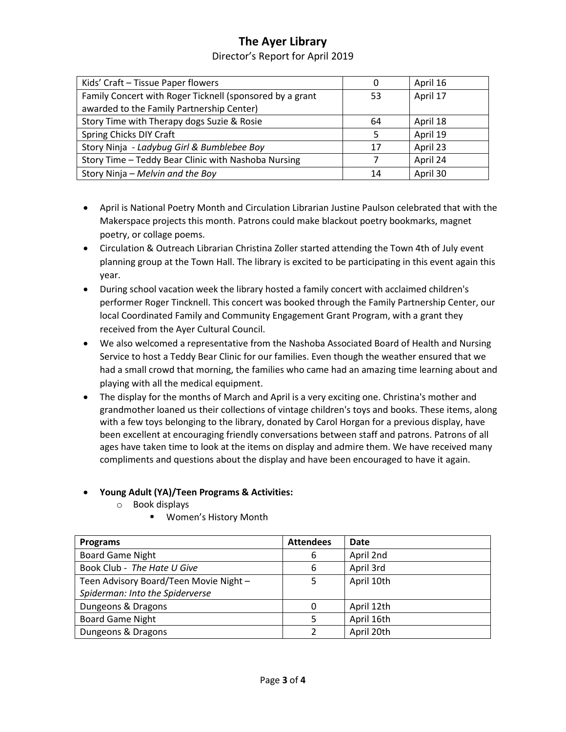## Director's Report for April 2019

| Kids' Craft - Tissue Paper flowers                       | 0  | April 16 |
|----------------------------------------------------------|----|----------|
| Family Concert with Roger Ticknell (sponsored by a grant | 53 | April 17 |
| awarded to the Family Partnership Center)                |    |          |
| Story Time with Therapy dogs Suzie & Rosie               | 64 | April 18 |
| Spring Chicks DIY Craft                                  | 5  | April 19 |
| Story Ninja - Ladybug Girl & Bumblebee Boy               | 17 | April 23 |
| Story Time - Teddy Bear Clinic with Nashoba Nursing      |    | April 24 |
| Story Ninja - Melvin and the Boy                         | 14 | April 30 |

- April is National Poetry Month and Circulation Librarian Justine Paulson celebrated that with the Makerspace projects this month. Patrons could make blackout poetry bookmarks, magnet poetry, or collage poems.
- Circulation & Outreach Librarian Christina Zoller started attending the Town 4th of July event planning group at the Town Hall. The library is excited to be participating in this event again this year.
- During school vacation week the library hosted a family concert with acclaimed children's performer Roger Tincknell. This concert was booked through the Family Partnership Center, our local Coordinated Family and Community Engagement Grant Program, with a grant they received from the Ayer Cultural Council.
- We also welcomed a representative from the Nashoba Associated Board of Health and Nursing Service to host a Teddy Bear Clinic for our families. Even though the weather ensured that we had a small crowd that morning, the families who came had an amazing time learning about and playing with all the medical equipment.
- The display for the months of March and April is a very exciting one. Christina's mother and grandmother loaned us their collections of vintage children's toys and books. These items, along with a few toys belonging to the library, donated by Carol Horgan for a previous display, have been excellent at encouraging friendly conversations between staff and patrons. Patrons of all ages have taken time to look at the items on display and admire them. We have received many compliments and questions about the display and have been encouraged to have it again.

## **Young Adult (YA)/Teen Programs & Activities:**

- o Book displays
	- Women's History Month

| <b>Programs</b>                        | <b>Attendees</b> | <b>Date</b> |
|----------------------------------------|------------------|-------------|
| <b>Board Game Night</b>                | 6                | April 2nd   |
| Book Club - The Hate U Give            | 6                | April 3rd   |
| Teen Advisory Board/Teen Movie Night - | 5                | April 10th  |
| Spiderman: Into the Spiderverse        |                  |             |
| Dungeons & Dragons                     | $\Omega$         | April 12th  |
| <b>Board Game Night</b>                | 5                | April 16th  |
| Dungeons & Dragons                     |                  | April 20th  |